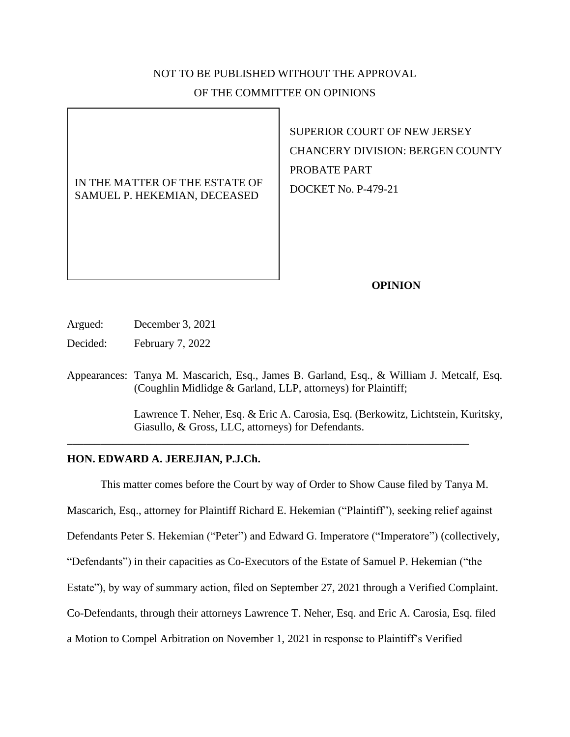# NOT TO BE PUBLISHED WITHOUT THE APPROVAL OF THE COMMITTEE ON OPINIONS

IN THE MATTER OF THE ESTATE OF SAMUEL P. HEKEMIAN, DECEASED

SUPERIOR COURT OF NEW JERSEY CHANCERY DIVISION: BERGEN COUNTY PROBATE PART DOCKET No. P-479-21

### **OPINION**

Argued: December 3, 2021

Decided: February 7, 2022

Appearances: Tanya M. Mascarich, Esq., James B. Garland, Esq., & William J. Metcalf, Esq. (Coughlin Midlidge & Garland, LLP, attorneys) for Plaintiff;

\_\_\_\_\_\_\_\_\_\_\_\_\_\_\_\_\_\_\_\_\_\_\_\_\_\_\_\_\_\_\_\_\_\_\_\_\_\_\_\_\_\_\_\_\_\_\_\_\_\_\_\_\_\_\_\_\_\_\_\_\_\_\_\_\_\_\_\_\_\_\_\_

Lawrence T. Neher, Esq. & Eric A. Carosia, Esq. (Berkowitz, Lichtstein, Kuritsky, Giasullo, & Gross, LLC, attorneys) for Defendants.

## **HON. EDWARD A. JEREJIAN, P.J.Ch.**

This matter comes before the Court by way of Order to Show Cause filed by Tanya M. Mascarich, Esq., attorney for Plaintiff Richard E. Hekemian ("Plaintiff"), seeking relief against Defendants Peter S. Hekemian ("Peter") and Edward G. Imperatore ("Imperatore") (collectively, "Defendants") in their capacities as Co-Executors of the Estate of Samuel P. Hekemian ("the Estate"), by way of summary action, filed on September 27, 2021 through a Verified Complaint. Co-Defendants, through their attorneys Lawrence T. Neher, Esq. and Eric A. Carosia, Esq. filed a Motion to Compel Arbitration on November 1, 2021 in response to Plaintiff's Verified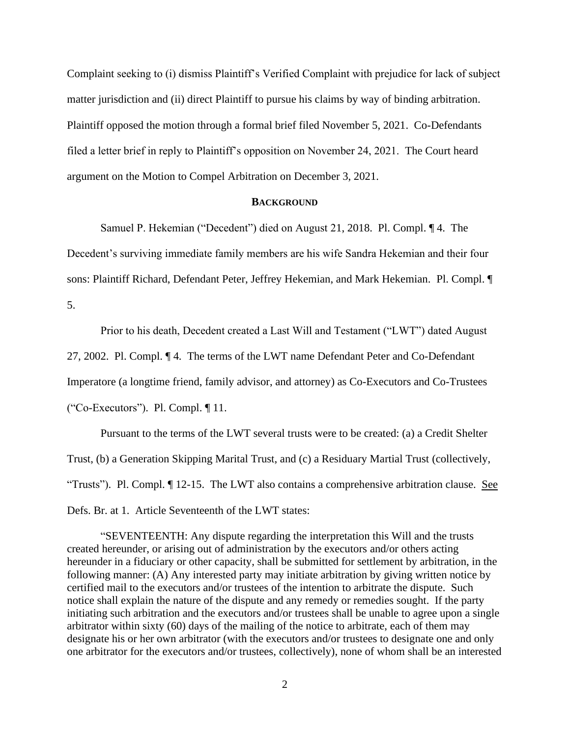Complaint seeking to (i) dismiss Plaintiff's Verified Complaint with prejudice for lack of subject matter jurisdiction and (ii) direct Plaintiff to pursue his claims by way of binding arbitration. Plaintiff opposed the motion through a formal brief filed November 5, 2021. Co-Defendants filed a letter brief in reply to Plaintiff's opposition on November 24, 2021. The Court heard argument on the Motion to Compel Arbitration on December 3, 2021.

#### **BACKGROUND**

Samuel P. Hekemian ("Decedent") died on August 21, 2018. Pl. Compl. ¶ 4. The Decedent's surviving immediate family members are his wife Sandra Hekemian and their four sons: Plaintiff Richard, Defendant Peter, Jeffrey Hekemian, and Mark Hekemian. Pl. Compl. ¶ 5.

Prior to his death, Decedent created a Last Will and Testament ("LWT") dated August

27, 2002. Pl. Compl. ¶ 4. The terms of the LWT name Defendant Peter and Co-Defendant

Imperatore (a longtime friend, family advisor, and attorney) as Co-Executors and Co-Trustees

("Co-Executors"). Pl. Compl. ¶ 11.

Pursuant to the terms of the LWT several trusts were to be created: (a) a Credit Shelter Trust, (b) a Generation Skipping Marital Trust, and (c) a Residuary Martial Trust (collectively, "Trusts"). Pl. Compl. ¶ 12-15. The LWT also contains a comprehensive arbitration clause. See Defs. Br. at 1. Article Seventeenth of the LWT states:

"SEVENTEENTH: Any dispute regarding the interpretation this Will and the trusts created hereunder, or arising out of administration by the executors and/or others acting hereunder in a fiduciary or other capacity, shall be submitted for settlement by arbitration, in the following manner: (A) Any interested party may initiate arbitration by giving written notice by certified mail to the executors and/or trustees of the intention to arbitrate the dispute. Such notice shall explain the nature of the dispute and any remedy or remedies sought. If the party initiating such arbitration and the executors and/or trustees shall be unable to agree upon a single arbitrator within sixty (60) days of the mailing of the notice to arbitrate, each of them may designate his or her own arbitrator (with the executors and/or trustees to designate one and only one arbitrator for the executors and/or trustees, collectively), none of whom shall be an interested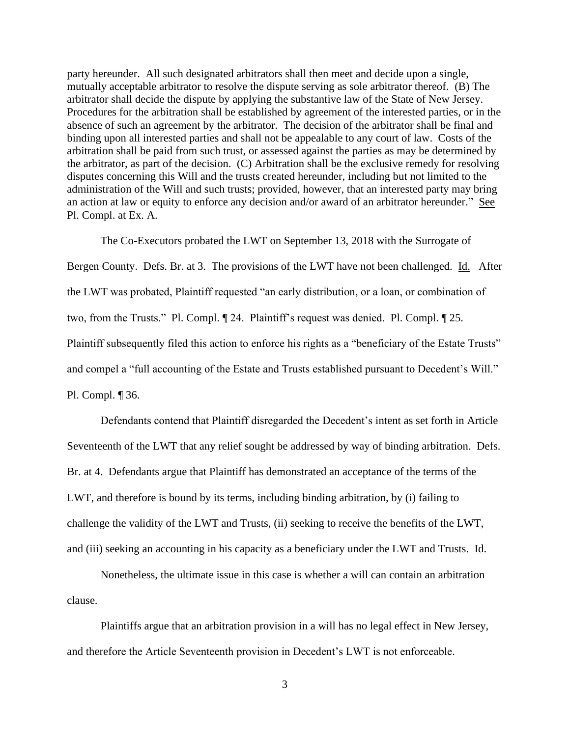party hereunder. All such designated arbitrators shall then meet and decide upon a single, mutually acceptable arbitrator to resolve the dispute serving as sole arbitrator thereof. (B) The arbitrator shall decide the dispute by applying the substantive law of the State of New Jersey. Procedures for the arbitration shall be established by agreement of the interested parties, or in the absence of such an agreement by the arbitrator. The decision of the arbitrator shall be final and binding upon all interested parties and shall not be appealable to any court of law. Costs of the arbitration shall be paid from such trust, or assessed against the parties as may be determined by the arbitrator, as part of the decision. (C) Arbitration shall be the exclusive remedy for resolving disputes concerning this Will and the trusts created hereunder, including but not limited to the administration of the Will and such trusts; provided, however, that an interested party may bring an action at law or equity to enforce any decision and/or award of an arbitrator hereunder." See Pl. Compl. at Ex. A.

The Co-Executors probated the LWT on September 13, 2018 with the Surrogate of Bergen County. Defs. Br. at 3. The provisions of the LWT have not been challenged. Id. After the LWT was probated, Plaintiff requested "an early distribution, or a loan, or combination of two, from the Trusts." Pl. Compl. ¶ 24. Plaintiff's request was denied. Pl. Compl. ¶ 25. Plaintiff subsequently filed this action to enforce his rights as a "beneficiary of the Estate Trusts" and compel a "full accounting of the Estate and Trusts established pursuant to Decedent's Will." Pl. Compl. ¶ 36.

Defendants contend that Plaintiff disregarded the Decedent's intent as set forth in Article Seventeenth of the LWT that any relief sought be addressed by way of binding arbitration. Defs. Br. at 4. Defendants argue that Plaintiff has demonstrated an acceptance of the terms of the LWT, and therefore is bound by its terms, including binding arbitration, by (i) failing to challenge the validity of the LWT and Trusts, (ii) seeking to receive the benefits of the LWT, and (iii) seeking an accounting in his capacity as a beneficiary under the LWT and Trusts. Id.

Nonetheless, the ultimate issue in this case is whether a will can contain an arbitration clause.

Plaintiffs argue that an arbitration provision in a will has no legal effect in New Jersey, and therefore the Article Seventeenth provision in Decedent's LWT is not enforceable.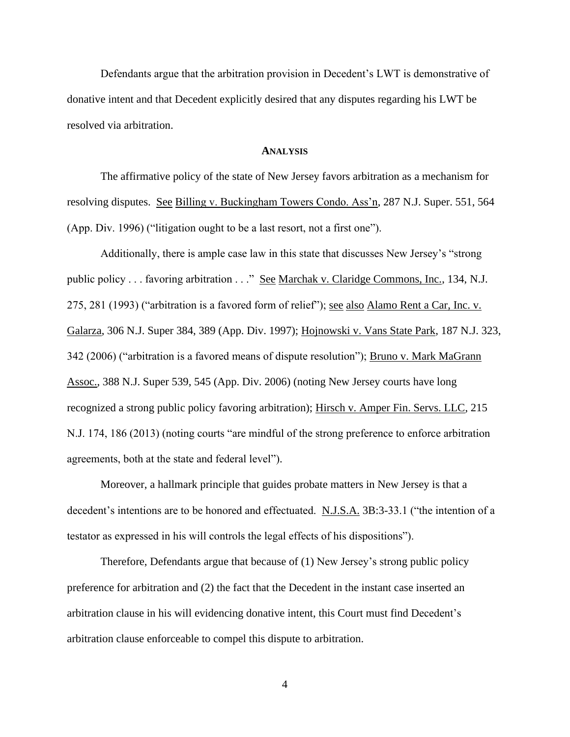Defendants argue that the arbitration provision in Decedent's LWT is demonstrative of donative intent and that Decedent explicitly desired that any disputes regarding his LWT be resolved via arbitration.

#### **ANALYSIS**

The affirmative policy of the state of New Jersey favors arbitration as a mechanism for resolving disputes. See Billing v. Buckingham Towers Condo. Ass'n, 287 N.J. Super. 551, 564 (App. Div. 1996) ("litigation ought to be a last resort, not a first one").

Additionally, there is ample case law in this state that discusses New Jersey's "strong public policy . . . favoring arbitration . . ." See Marchak v. Claridge Commons, Inc., 134, N.J. 275, 281 (1993) ("arbitration is a favored form of relief"); <u>see also Alamo Rent a Car, Inc. v.</u> Galarza, 306 N.J. Super 384, 389 (App. Div. 1997); Hojnowski v. Vans State Park, 187 N.J. 323, 342 (2006) ("arbitration is a favored means of dispute resolution"); Bruno v. Mark MaGrann Assoc., 388 N.J. Super 539, 545 (App. Div. 2006) (noting New Jersey courts have long recognized a strong public policy favoring arbitration); Hirsch v. Amper Fin. Servs. LLC, 215 N.J. 174, 186 (2013) (noting courts "are mindful of the strong preference to enforce arbitration agreements, both at the state and federal level").

Moreover, a hallmark principle that guides probate matters in New Jersey is that a decedent's intentions are to be honored and effectuated. N.J.S.A. 3B:3-33.1 ("the intention of a testator as expressed in his will controls the legal effects of his dispositions").

Therefore, Defendants argue that because of (1) New Jersey's strong public policy preference for arbitration and (2) the fact that the Decedent in the instant case inserted an arbitration clause in his will evidencing donative intent, this Court must find Decedent's arbitration clause enforceable to compel this dispute to arbitration.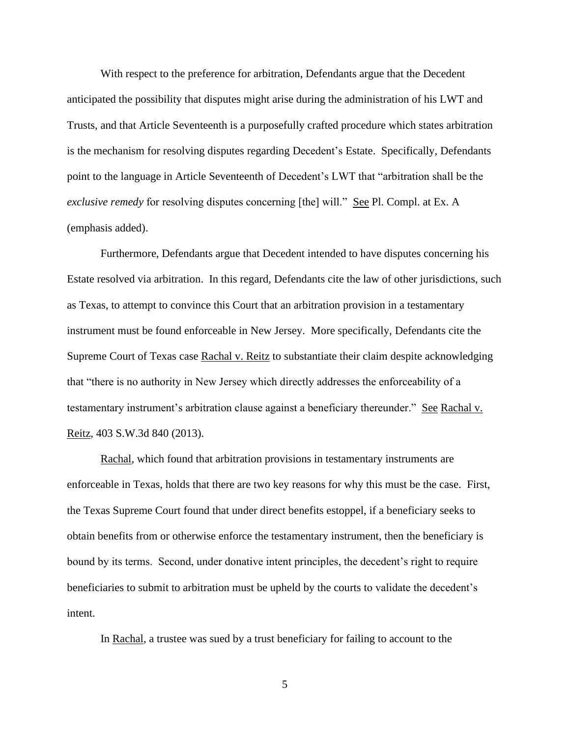With respect to the preference for arbitration, Defendants argue that the Decedent anticipated the possibility that disputes might arise during the administration of his LWT and Trusts, and that Article Seventeenth is a purposefully crafted procedure which states arbitration is the mechanism for resolving disputes regarding Decedent's Estate. Specifically, Defendants point to the language in Article Seventeenth of Decedent's LWT that "arbitration shall be the *exclusive remedy* for resolving disputes concerning [the] will." <u>See</u> Pl. Compl. at Ex. A (emphasis added).

Furthermore, Defendants argue that Decedent intended to have disputes concerning his Estate resolved via arbitration. In this regard, Defendants cite the law of other jurisdictions, such as Texas, to attempt to convince this Court that an arbitration provision in a testamentary instrument must be found enforceable in New Jersey. More specifically, Defendants cite the Supreme Court of Texas case Rachal v. Reitz to substantiate their claim despite acknowledging that "there is no authority in New Jersey which directly addresses the enforceability of a testamentary instrument's arbitration clause against a beneficiary thereunder." See Rachal v. Reitz, 403 S.W.3d 840 (2013).

Rachal, which found that arbitration provisions in testamentary instruments are enforceable in Texas, holds that there are two key reasons for why this must be the case. First, the Texas Supreme Court found that under direct benefits estoppel, if a beneficiary seeks to obtain benefits from or otherwise enforce the testamentary instrument, then the beneficiary is bound by its terms. Second, under donative intent principles, the decedent's right to require beneficiaries to submit to arbitration must be upheld by the courts to validate the decedent's intent.

In Rachal, a trustee was sued by a trust beneficiary for failing to account to the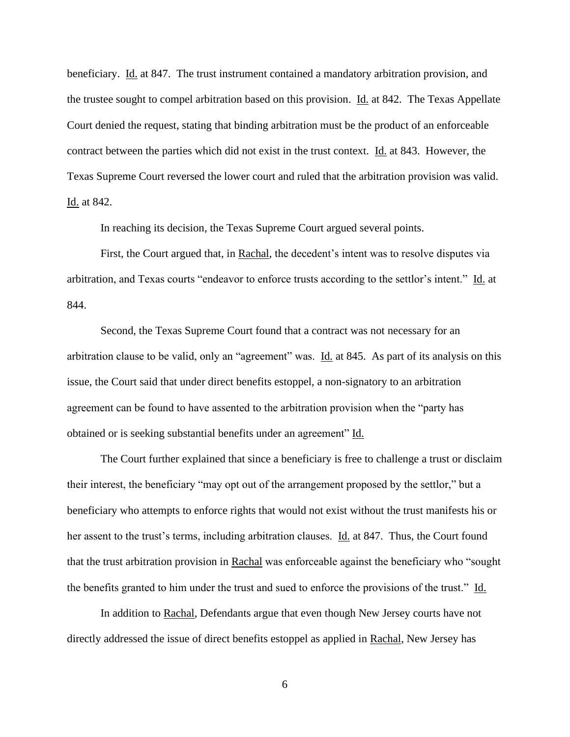beneficiary. Id. at 847. The trust instrument contained a mandatory arbitration provision, and the trustee sought to compel arbitration based on this provision. Id. at 842. The Texas Appellate Court denied the request, stating that binding arbitration must be the product of an enforceable contract between the parties which did not exist in the trust context. Id. at 843. However, the Texas Supreme Court reversed the lower court and ruled that the arbitration provision was valid. Id. at 842.

In reaching its decision, the Texas Supreme Court argued several points.

First, the Court argued that, in Rachal, the decedent's intent was to resolve disputes via arbitration, and Texas courts "endeavor to enforce trusts according to the settlor's intent." Id. at 844.

Second, the Texas Supreme Court found that a contract was not necessary for an arbitration clause to be valid, only an "agreement" was. Id. at 845. As part of its analysis on this issue, the Court said that under direct benefits estoppel, a non-signatory to an arbitration agreement can be found to have assented to the arbitration provision when the "party has obtained or is seeking substantial benefits under an agreement" Id.

The Court further explained that since a beneficiary is free to challenge a trust or disclaim their interest, the beneficiary "may opt out of the arrangement proposed by the settlor," but a beneficiary who attempts to enforce rights that would not exist without the trust manifests his or her assent to the trust's terms, including arbitration clauses. Id. at 847. Thus, the Court found that the trust arbitration provision in Rachal was enforceable against the beneficiary who "sought the benefits granted to him under the trust and sued to enforce the provisions of the trust."  $\underline{Id}$ .

In addition to Rachal, Defendants argue that even though New Jersey courts have not directly addressed the issue of direct benefits estoppel as applied in Rachal, New Jersey has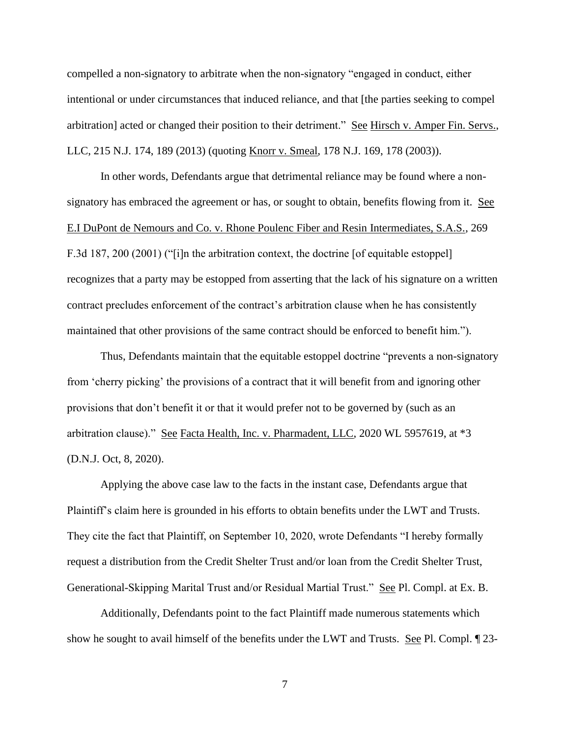compelled a non-signatory to arbitrate when the non-signatory "engaged in conduct, either intentional or under circumstances that induced reliance, and that [the parties seeking to compel arbitration] acted or changed their position to their detriment." See Hirsch v. Amper Fin. Servs., LLC, 215 N.J. 174, 189 (2013) (quoting Knorr v. Smeal, 178 N.J. 169, 178 (2003)).

In other words, Defendants argue that detrimental reliance may be found where a nonsignatory has embraced the agreement or has, or sought to obtain, benefits flowing from it. See E.I DuPont de Nemours and Co. v. Rhone Poulenc Fiber and Resin Intermediates, S.A.S., 269 F.3d 187, 200 (2001) ("[i]n the arbitration context, the doctrine [of equitable estoppel] recognizes that a party may be estopped from asserting that the lack of his signature on a written contract precludes enforcement of the contract's arbitration clause when he has consistently maintained that other provisions of the same contract should be enforced to benefit him.").

Thus, Defendants maintain that the equitable estoppel doctrine "prevents a non-signatory from 'cherry picking' the provisions of a contract that it will benefit from and ignoring other provisions that don't benefit it or that it would prefer not to be governed by (such as an arbitration clause)." See Facta Health, Inc. v. Pharmadent, LLC, 2020 WL 5957619, at \*3 (D.N.J. Oct, 8, 2020).

Applying the above case law to the facts in the instant case, Defendants argue that Plaintiff's claim here is grounded in his efforts to obtain benefits under the LWT and Trusts. They cite the fact that Plaintiff, on September 10, 2020, wrote Defendants "I hereby formally request a distribution from the Credit Shelter Trust and/or loan from the Credit Shelter Trust, Generational-Skipping Marital Trust and/or Residual Martial Trust." See Pl. Compl. at Ex. B.

Additionally, Defendants point to the fact Plaintiff made numerous statements which show he sought to avail himself of the benefits under the LWT and Trusts. See Pl. Compl. ¶ 23-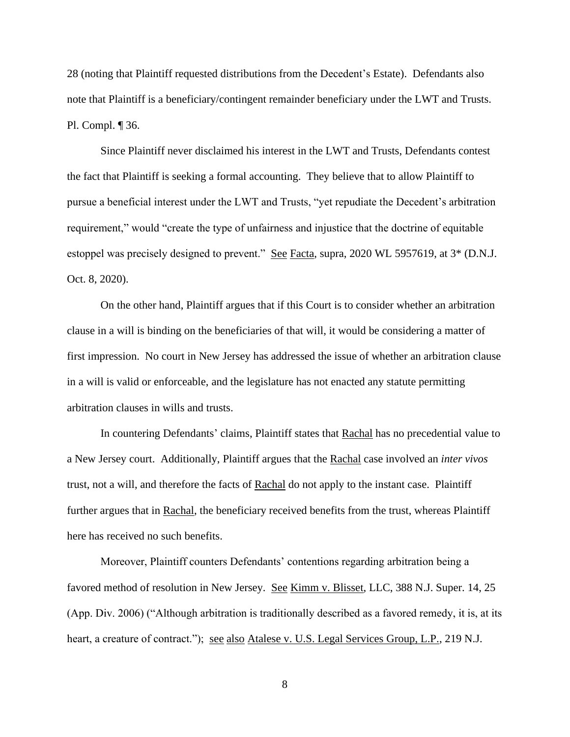28 (noting that Plaintiff requested distributions from the Decedent's Estate). Defendants also note that Plaintiff is a beneficiary/contingent remainder beneficiary under the LWT and Trusts. Pl. Compl. ¶ 36.

Since Plaintiff never disclaimed his interest in the LWT and Trusts, Defendants contest the fact that Plaintiff is seeking a formal accounting. They believe that to allow Plaintiff to pursue a beneficial interest under the LWT and Trusts, "yet repudiate the Decedent's arbitration requirement," would "create the type of unfairness and injustice that the doctrine of equitable estoppel was precisely designed to prevent." See Facta, supra, 2020 WL 5957619, at 3<sup>\*</sup> (D.N.J. Oct. 8, 2020).

On the other hand, Plaintiff argues that if this Court is to consider whether an arbitration clause in a will is binding on the beneficiaries of that will, it would be considering a matter of first impression. No court in New Jersey has addressed the issue of whether an arbitration clause in a will is valid or enforceable, and the legislature has not enacted any statute permitting arbitration clauses in wills and trusts.

In countering Defendants' claims, Plaintiff states that Rachal has no precedential value to a New Jersey court. Additionally, Plaintiff argues that the Rachal case involved an *inter vivos* trust, not a will, and therefore the facts of Rachal do not apply to the instant case. Plaintiff further argues that in Rachal, the beneficiary received benefits from the trust, whereas Plaintiff here has received no such benefits.

Moreover, Plaintiff counters Defendants' contentions regarding arbitration being a favored method of resolution in New Jersey. See Kimm v. Blisset, LLC, 388 N.J. Super. 14, 25 (App. Div. 2006) ("Although arbitration is traditionally described as a favored remedy, it is, at its heart, a creature of contract."); <u>see also Atalese v. U.S. Legal Services Group, L.P.</u>, 219 N.J.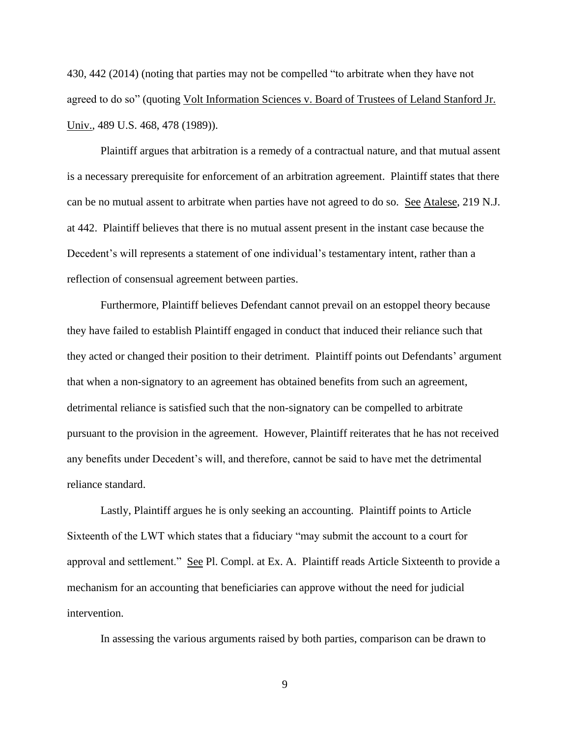430, 442 (2014) (noting that parties may not be compelled "to arbitrate when they have not agreed to do so" (quoting Volt Information Sciences v. Board of Trustees of Leland Stanford Jr. Univ., 489 U.S. 468, 478 (1989)).

Plaintiff argues that arbitration is a remedy of a contractual nature, and that mutual assent is a necessary prerequisite for enforcement of an arbitration agreement. Plaintiff states that there can be no mutual assent to arbitrate when parties have not agreed to do so. See Atalese, 219 N.J. at 442. Plaintiff believes that there is no mutual assent present in the instant case because the Decedent's will represents a statement of one individual's testamentary intent, rather than a reflection of consensual agreement between parties.

Furthermore, Plaintiff believes Defendant cannot prevail on an estoppel theory because they have failed to establish Plaintiff engaged in conduct that induced their reliance such that they acted or changed their position to their detriment. Plaintiff points out Defendants' argument that when a non-signatory to an agreement has obtained benefits from such an agreement, detrimental reliance is satisfied such that the non-signatory can be compelled to arbitrate pursuant to the provision in the agreement. However, Plaintiff reiterates that he has not received any benefits under Decedent's will, and therefore, cannot be said to have met the detrimental reliance standard.

Lastly, Plaintiff argues he is only seeking an accounting. Plaintiff points to Article Sixteenth of the LWT which states that a fiduciary "may submit the account to a court for approval and settlement." See Pl. Compl. at Ex. A. Plaintiff reads Article Sixteenth to provide a mechanism for an accounting that beneficiaries can approve without the need for judicial intervention.

In assessing the various arguments raised by both parties, comparison can be drawn to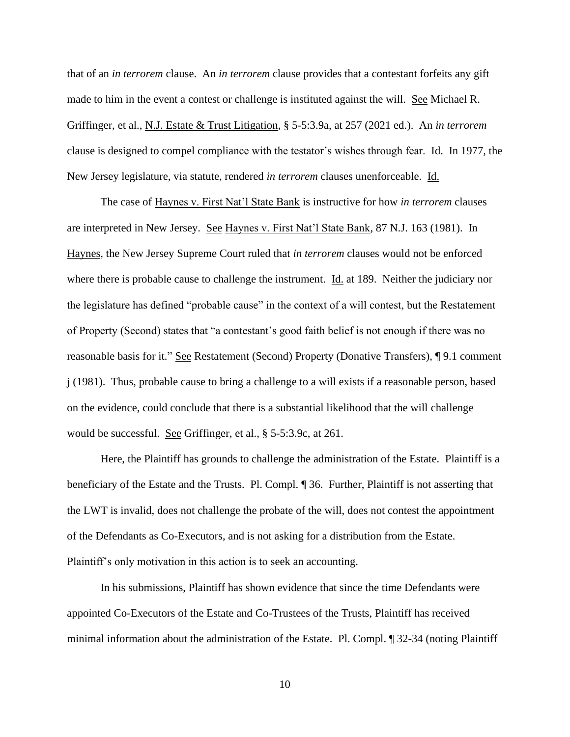that of an *in terrorem* clause. An *in terrorem* clause provides that a contestant forfeits any gift made to him in the event a contest or challenge is instituted against the will. See Michael R. Griffinger, et al., N.J. Estate & Trust Litigation, § 5-5:3.9a, at 257 (2021 ed.). An *in terrorem* clause is designed to compel compliance with the testator's wishes through fear. Id. In 1977, the New Jersey legislature, via statute, rendered *in terrorem* clauses unenforceable. Id.

The case of Haynes v. First Nat'l State Bank is instructive for how *in terrorem* clauses are interpreted in New Jersey. See Haynes v. First Nat'l State Bank, 87 N.J. 163 (1981). In Haynes, the New Jersey Supreme Court ruled that *in terrorem* clauses would not be enforced where there is probable cause to challenge the instrument. Id. at 189. Neither the judiciary nor the legislature has defined "probable cause" in the context of a will contest, but the Restatement of Property (Second) states that "a contestant's good faith belief is not enough if there was no reasonable basis for it." See Restatement (Second) Property (Donative Transfers), ¶ 9.1 comment j (1981). Thus, probable cause to bring a challenge to a will exists if a reasonable person, based on the evidence, could conclude that there is a substantial likelihood that the will challenge would be successful. See Griffinger, et al., § 5-5:3.9c, at 261.

Here, the Plaintiff has grounds to challenge the administration of the Estate. Plaintiff is a beneficiary of the Estate and the Trusts. Pl. Compl. ¶ 36. Further, Plaintiff is not asserting that the LWT is invalid, does not challenge the probate of the will, does not contest the appointment of the Defendants as Co-Executors, and is not asking for a distribution from the Estate. Plaintiff's only motivation in this action is to seek an accounting.

In his submissions, Plaintiff has shown evidence that since the time Defendants were appointed Co-Executors of the Estate and Co-Trustees of the Trusts, Plaintiff has received minimal information about the administration of the Estate. Pl. Compl. ¶ 32-34 (noting Plaintiff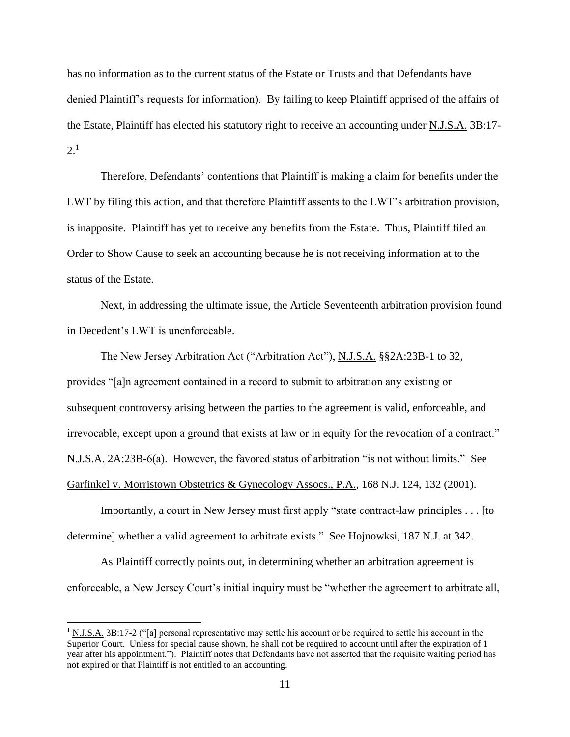has no information as to the current status of the Estate or Trusts and that Defendants have denied Plaintiff's requests for information). By failing to keep Plaintiff apprised of the affairs of the Estate, Plaintiff has elected his statutory right to receive an accounting under N.J.S.A. 3B:17-  $2^{1}$ 

Therefore, Defendants' contentions that Plaintiff is making a claim for benefits under the LWT by filing this action, and that therefore Plaintiff assents to the LWT's arbitration provision, is inapposite. Plaintiff has yet to receive any benefits from the Estate. Thus, Plaintiff filed an Order to Show Cause to seek an accounting because he is not receiving information at to the status of the Estate.

Next, in addressing the ultimate issue, the Article Seventeenth arbitration provision found in Decedent's LWT is unenforceable.

The New Jersey Arbitration Act ("Arbitration Act"), N.J.S.A. §§2A:23B-1 to 32, provides "[a]n agreement contained in a record to submit to arbitration any existing or subsequent controversy arising between the parties to the agreement is valid, enforceable, and irrevocable, except upon a ground that exists at law or in equity for the revocation of a contract." N.J.S.A. 2A:23B-6(a). However, the favored status of arbitration "is not without limits." See Garfinkel v. Morristown Obstetrics & Gynecology Assocs., P.A., 168 N.J. 124, 132 (2001).

Importantly, a court in New Jersey must first apply "state contract-law principles . . . [to determine] whether a valid agreement to arbitrate exists." See Hojnowksi, 187 N.J. at 342.

As Plaintiff correctly points out, in determining whether an arbitration agreement is enforceable, a New Jersey Court's initial inquiry must be "whether the agreement to arbitrate all,

 $1 \text{ N.J.S.A. } 3 \text{B:} 17\text{-}2$  ("[a] personal representative may settle his account or be required to settle his account in the Superior Court. Unless for special cause shown, he shall not be required to account until after the expiration of 1 year after his appointment."). Plaintiff notes that Defendants have not asserted that the requisite waiting period has not expired or that Plaintiff is not entitled to an accounting.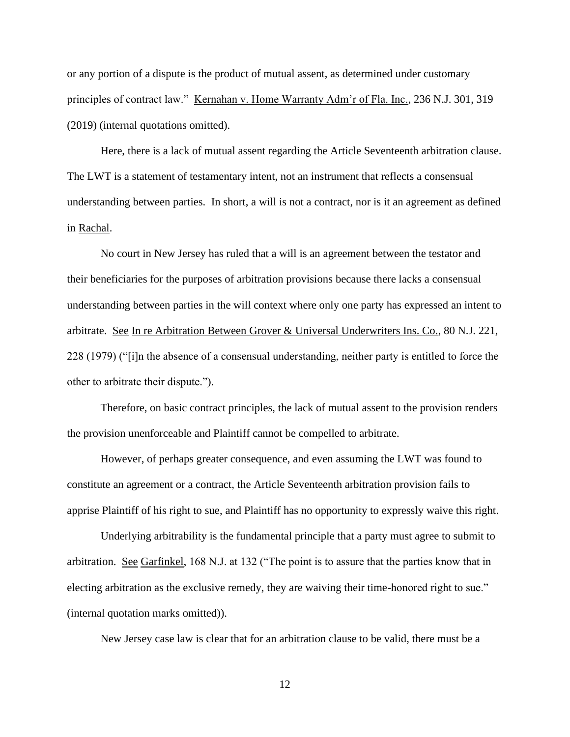or any portion of a dispute is the product of mutual assent, as determined under customary principles of contract law." Kernahan v. Home Warranty Adm'r of Fla. Inc., 236 N.J. 301, 319 (2019) (internal quotations omitted).

Here, there is a lack of mutual assent regarding the Article Seventeenth arbitration clause. The LWT is a statement of testamentary intent, not an instrument that reflects a consensual understanding between parties. In short, a will is not a contract, nor is it an agreement as defined in Rachal.

No court in New Jersey has ruled that a will is an agreement between the testator and their beneficiaries for the purposes of arbitration provisions because there lacks a consensual understanding between parties in the will context where only one party has expressed an intent to arbitrate. See In re Arbitration Between Grover & Universal Underwriters Ins. Co., 80 N.J. 221, 228 (1979) ("[i]n the absence of a consensual understanding, neither party is entitled to force the other to arbitrate their dispute.").

Therefore, on basic contract principles, the lack of mutual assent to the provision renders the provision unenforceable and Plaintiff cannot be compelled to arbitrate.

However, of perhaps greater consequence, and even assuming the LWT was found to constitute an agreement or a contract, the Article Seventeenth arbitration provision fails to apprise Plaintiff of his right to sue, and Plaintiff has no opportunity to expressly waive this right.

Underlying arbitrability is the fundamental principle that a party must agree to submit to arbitration. See Garfinkel, 168 N.J. at 132 ("The point is to assure that the parties know that in electing arbitration as the exclusive remedy, they are waiving their time-honored right to sue." (internal quotation marks omitted)).

New Jersey case law is clear that for an arbitration clause to be valid, there must be a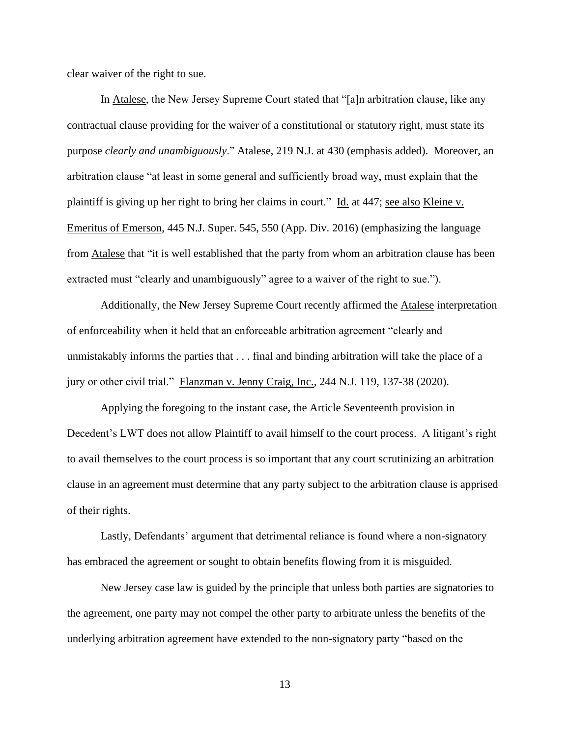clear waiver of the right to sue.

In Atalese, the New Jersey Supreme Court stated that "[a]n arbitration clause, like any contractual clause providing for the waiver of a constitutional or statutory right, must state its purpose *clearly and unambiguously*." Atalese, 219 N.J. at 430 (emphasis added). Moreover, an arbitration clause "at least in some general and sufficiently broad way, must explain that the plaintiff is giving up her right to bring her claims in court." Id. at 447; see also Kleine v. Emeritus of Emerson, 445 N.J. Super. 545, 550 (App. Div. 2016) (emphasizing the language from Atalese that "it is well established that the party from whom an arbitration clause has been extracted must "clearly and unambiguously" agree to a waiver of the right to sue.").

Additionally, the New Jersey Supreme Court recently affirmed the Atalese interpretation of enforceability when it held that an enforceable arbitration agreement "clearly and unmistakably informs the parties that . . . final and binding arbitration will take the place of a jury or other civil trial." Flanzman v. Jenny Craig, Inc., 244 N.J. 119, 137-38 (2020).

Applying the foregoing to the instant case, the Article Seventeenth provision in Decedent's LWT does not allow Plaintiff to avail himself to the court process. A litigant's right to avail themselves to the court process is so important that any court scrutinizing an arbitration clause in an agreement must determine that any party subject to the arbitration clause is apprised of their rights.

Lastly, Defendants' argument that detrimental reliance is found where a non-signatory has embraced the agreement or sought to obtain benefits flowing from it is misguided.

New Jersey case law is guided by the principle that unless both parties are signatories to the agreement, one party may not compel the other party to arbitrate unless the benefits of the underlying arbitration agreement have extended to the non-signatory party "based on the